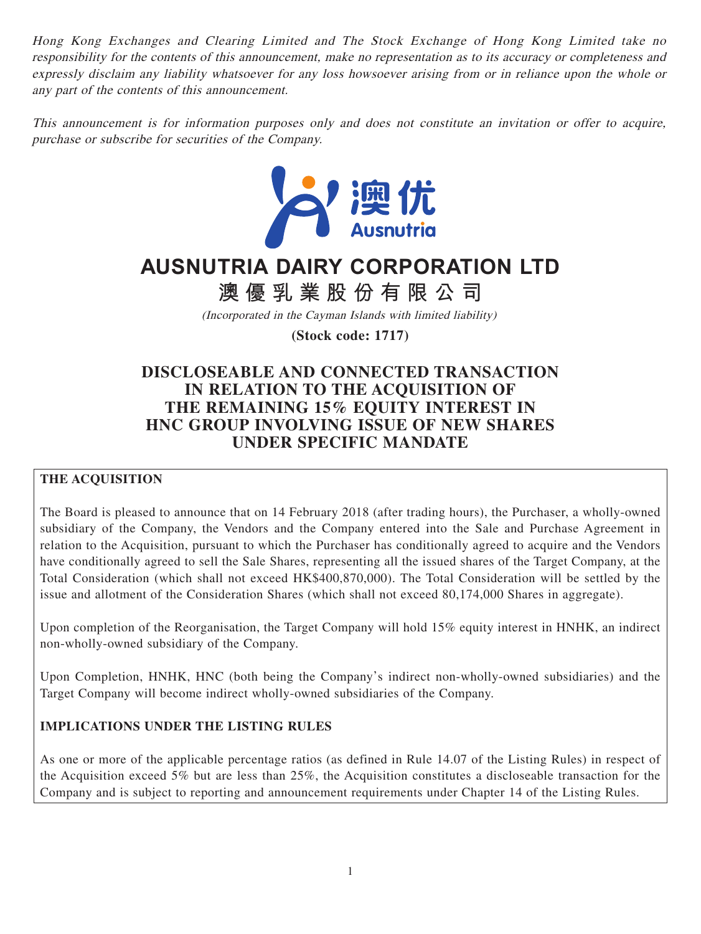Hong Kong Exchanges and Clearing Limited and The Stock Exchange of Hong Kong Limited take no responsibility for the contents of this announcement, make no representation as to its accuracy or completeness and expressly disclaim any liability whatsoever for any loss howsoever arising from or in reliance upon the whole or any part of the contents of this announcement.

This announcement is for information purposes only and does not constitute an invitation or offer to acquire, purchase or subscribe for securities of the Company.



# **AUSNUTRIA DAIRY CORPORATION LTD**

**澳優乳業股份有限公司**

(Incorporated in the Cayman Islands with limited liability)

**(Stock code: 1717)**

# **DISCLOSEABLE AND CONNECTED TRANSACTION IN RELATION TO THE ACQUISITION OF THE REMAINING 15% EQUITY INTEREST IN HNC GROUP INVOLVING ISSUE OF NEW SHARES UNDER SPECIFIC MANDATE**

# **THE ACQUISITION**

The Board is pleased to announce that on 14 February 2018 (after trading hours), the Purchaser, a wholly-owned subsidiary of the Company, the Vendors and the Company entered into the Sale and Purchase Agreement in relation to the Acquisition, pursuant to which the Purchaser has conditionally agreed to acquire and the Vendors have conditionally agreed to sell the Sale Shares, representing all the issued shares of the Target Company, at the Total Consideration (which shall not exceed HK\$400,870,000). The Total Consideration will be settled by the issue and allotment of the Consideration Shares (which shall not exceed 80,174,000 Shares in aggregate).

Upon completion of the Reorganisation, the Target Company will hold 15% equity interest in HNHK, an indirect non-wholly-owned subsidiary of the Company.

Upon Completion, HNHK, HNC (both being the Company's indirect non-wholly-owned subsidiaries) and the Target Company will become indirect wholly-owned subsidiaries of the Company.

# **IMPLICATIONS UNDER THE LISTING RULES**

As one or more of the applicable percentage ratios (as defined in Rule 14.07 of the Listing Rules) in respect of the Acquisition exceed 5% but are less than 25%, the Acquisition constitutes a discloseable transaction for the Company and is subject to reporting and announcement requirements under Chapter 14 of the Listing Rules.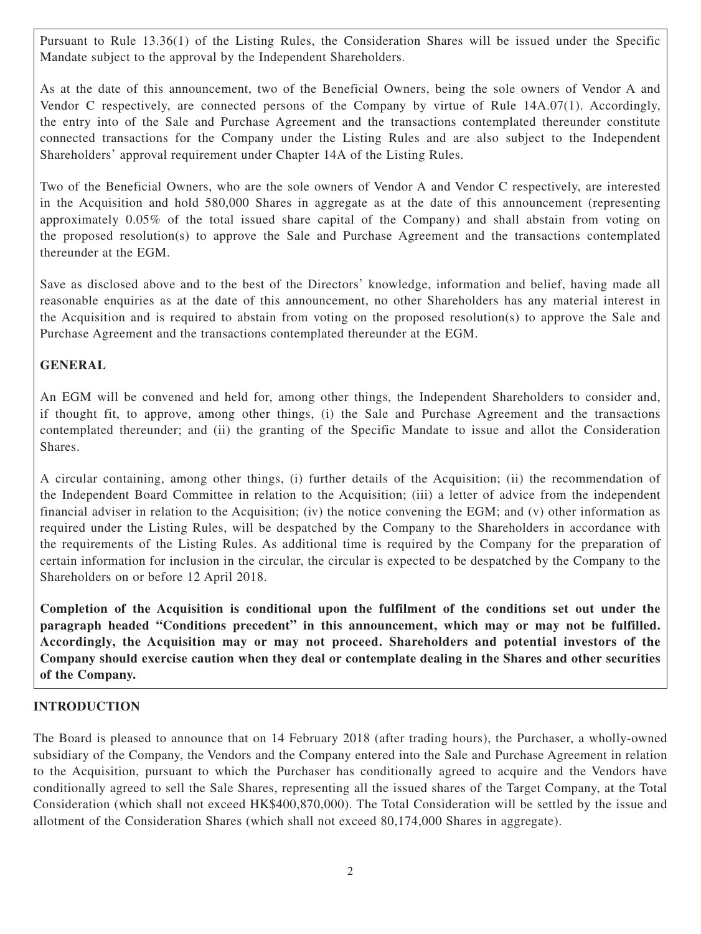Pursuant to Rule 13.36(1) of the Listing Rules, the Consideration Shares will be issued under the Specific Mandate subject to the approval by the Independent Shareholders.

As at the date of this announcement, two of the Beneficial Owners, being the sole owners of Vendor A and Vendor C respectively, are connected persons of the Company by virtue of Rule 14A.07(1). Accordingly, the entry into of the Sale and Purchase Agreement and the transactions contemplated thereunder constitute connected transactions for the Company under the Listing Rules and are also subject to the Independent Shareholders' approval requirement under Chapter 14A of the Listing Rules.

Two of the Beneficial Owners, who are the sole owners of Vendor A and Vendor C respectively, are interested in the Acquisition and hold 580,000 Shares in aggregate as at the date of this announcement (representing approximately 0.05% of the total issued share capital of the Company) and shall abstain from voting on the proposed resolution(s) to approve the Sale and Purchase Agreement and the transactions contemplated thereunder at the EGM.

Save as disclosed above and to the best of the Directors' knowledge, information and belief, having made all reasonable enquiries as at the date of this announcement, no other Shareholders has any material interest in the Acquisition and is required to abstain from voting on the proposed resolution(s) to approve the Sale and Purchase Agreement and the transactions contemplated thereunder at the EGM.

## **GENERAL**

An EGM will be convened and held for, among other things, the Independent Shareholders to consider and, if thought fit, to approve, among other things, (i) the Sale and Purchase Agreement and the transactions contemplated thereunder; and (ii) the granting of the Specific Mandate to issue and allot the Consideration **Shares**.

A circular containing, among other things, (i) further details of the Acquisition; (ii) the recommendation of the Independent Board Committee in relation to the Acquisition; (iii) a letter of advice from the independent financial adviser in relation to the Acquisition; (iv) the notice convening the EGM; and (v) other information as required under the Listing Rules, will be despatched by the Company to the Shareholders in accordance with the requirements of the Listing Rules. As additional time is required by the Company for the preparation of certain information for inclusion in the circular, the circular is expected to be despatched by the Company to the Shareholders on or before 12 April 2018.

**Completion of the Acquisition is conditional upon the fulfilment of the conditions set out under the paragraph headed "Conditions precedent" in this announcement, which may or may not be fulfilled. Accordingly, the Acquisition may or may not proceed. Shareholders and potential investors of the Company should exercise caution when they deal or contemplate dealing in the Shares and other securities of the Company.**

## **INTRODUCTION**

The Board is pleased to announce that on 14 February 2018 (after trading hours), the Purchaser, a wholly-owned subsidiary of the Company, the Vendors and the Company entered into the Sale and Purchase Agreement in relation to the Acquisition, pursuant to which the Purchaser has conditionally agreed to acquire and the Vendors have conditionally agreed to sell the Sale Shares, representing all the issued shares of the Target Company, at the Total Consideration (which shall not exceed HK\$400,870,000). The Total Consideration will be settled by the issue and allotment of the Consideration Shares (which shall not exceed 80,174,000 Shares in aggregate).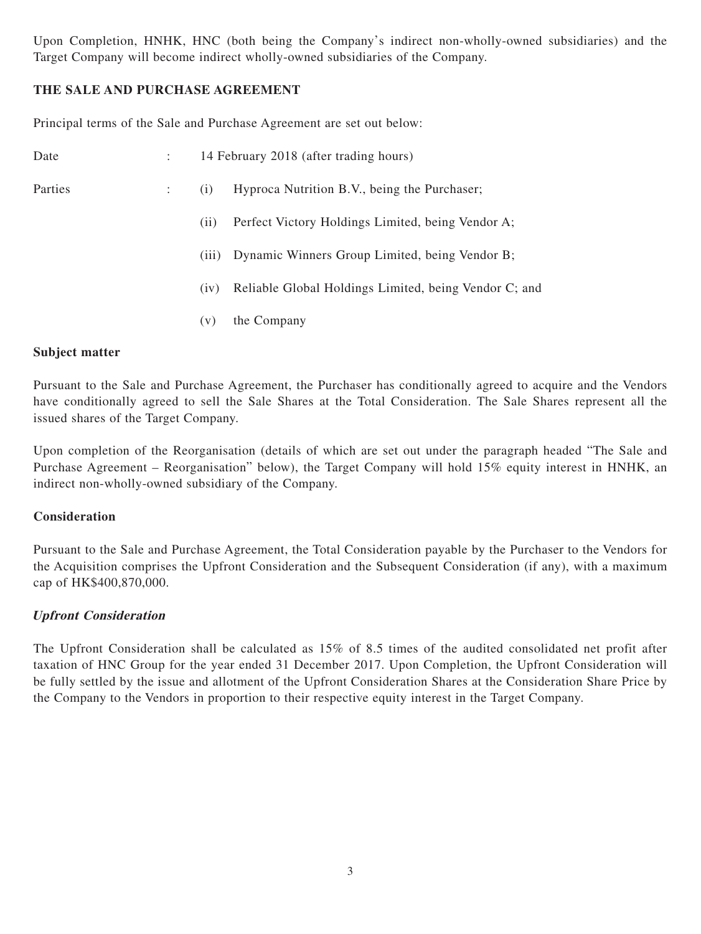Upon Completion, HNHK, HNC (both being the Company's indirect non-wholly-owned subsidiaries) and the Target Company will become indirect wholly-owned subsidiaries of the Company.

## **THE SALE AND PURCHASE AGREEMENT**

Principal terms of the Sale and Purchase Agreement are set out below:

| Date    |   |       | 14 February 2018 (after trading hours)                |
|---------|---|-------|-------------------------------------------------------|
| Parties | ÷ | (i)   | Hyproca Nutrition B.V., being the Purchaser;          |
|         |   | (i)   | Perfect Victory Holdings Limited, being Vendor A;     |
|         |   | (iii) | Dynamic Winners Group Limited, being Vendor B;        |
|         |   | (iv)  | Reliable Global Holdings Limited, being Vendor C; and |
|         |   | (v)   | the Company                                           |
|         |   |       |                                                       |

#### **Subject matter**

Pursuant to the Sale and Purchase Agreement, the Purchaser has conditionally agreed to acquire and the Vendors have conditionally agreed to sell the Sale Shares at the Total Consideration. The Sale Shares represent all the issued shares of the Target Company.

Upon completion of the Reorganisation (details of which are set out under the paragraph headed "The Sale and Purchase Agreement – Reorganisation" below), the Target Company will hold 15% equity interest in HNHK, an indirect non-wholly-owned subsidiary of the Company.

#### **Consideration**

Pursuant to the Sale and Purchase Agreement, the Total Consideration payable by the Purchaser to the Vendors for the Acquisition comprises the Upfront Consideration and the Subsequent Consideration (if any), with a maximum cap of HK\$400,870,000.

#### **Upfront Consideration**

The Upfront Consideration shall be calculated as 15% of 8.5 times of the audited consolidated net profit after taxation of HNC Group for the year ended 31 December 2017. Upon Completion, the Upfront Consideration will be fully settled by the issue and allotment of the Upfront Consideration Shares at the Consideration Share Price by the Company to the Vendors in proportion to their respective equity interest in the Target Company.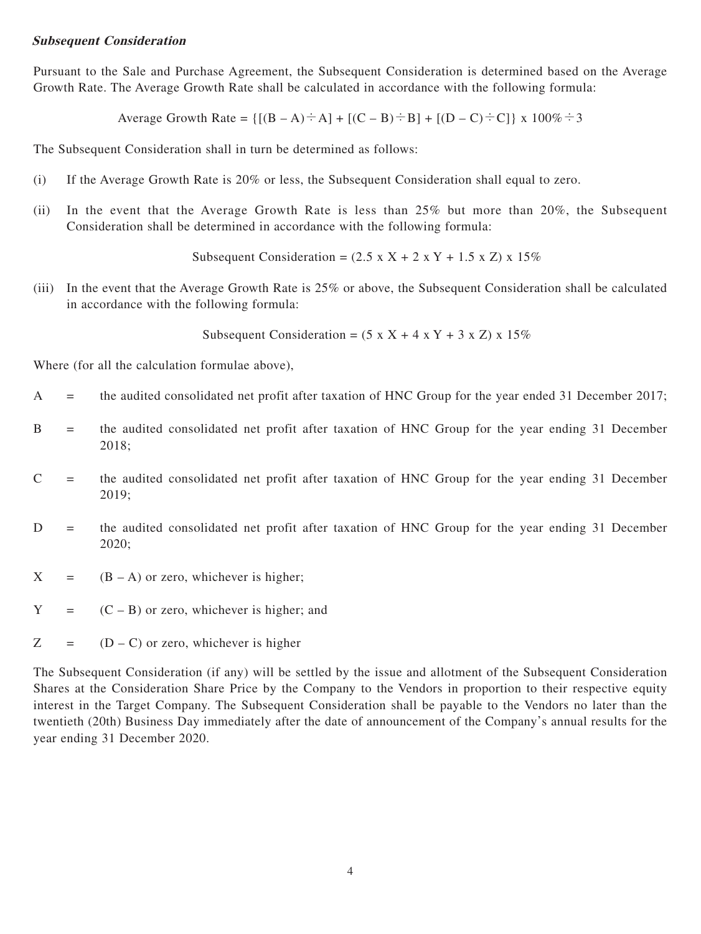#### **Subsequent Consideration**

Pursuant to the Sale and Purchase Agreement, the Subsequent Consideration is determined based on the Average Growth Rate. The Average Growth Rate shall be calculated in accordance with the following formula:

Average Growth Rate =  $\{[(B - A) \div A] + [(C - B) \div B] + [(D - C) \div C]\}\times 100\% \div 3$ 

The Subsequent Consideration shall in turn be determined as follows:

- (i) If the Average Growth Rate is 20% or less, the Subsequent Consideration shall equal to zero.
- (ii) In the event that the Average Growth Rate is less than 25% but more than 20%, the Subsequent Consideration shall be determined in accordance with the following formula:

Subsequent Consideration =  $(2.5 \times X + 2 \times Y + 1.5 \times Z) \times 15\%$ 

(iii) In the event that the Average Growth Rate is 25% or above, the Subsequent Consideration shall be calculated in accordance with the following formula:

Subsequent Consideration =  $(5 \times X + 4 \times Y + 3 \times Z) \times 15\%$ 

Where (for all the calculation formulae above),

- A = the audited consolidated net profit after taxation of HNC Group for the year ended 31 December 2017;
- B = the audited consolidated net profit after taxation of HNC Group for the year ending 31 December 2018;
- $C =$  the audited consolidated net profit after taxation of HNC Group for the year ending 31 December 2019;
- D = the audited consolidated net profit after taxation of HNC Group for the year ending 31 December 2020;
- $X = (B A)$  or zero, whichever is higher;
- $Y = (C B)$  or zero, whichever is higher; and
- $Z = (D C)$  or zero, whichever is higher

The Subsequent Consideration (if any) will be settled by the issue and allotment of the Subsequent Consideration Shares at the Consideration Share Price by the Company to the Vendors in proportion to their respective equity interest in the Target Company. The Subsequent Consideration shall be payable to the Vendors no later than the twentieth (20th) Business Day immediately after the date of announcement of the Company's annual results for the year ending 31 December 2020.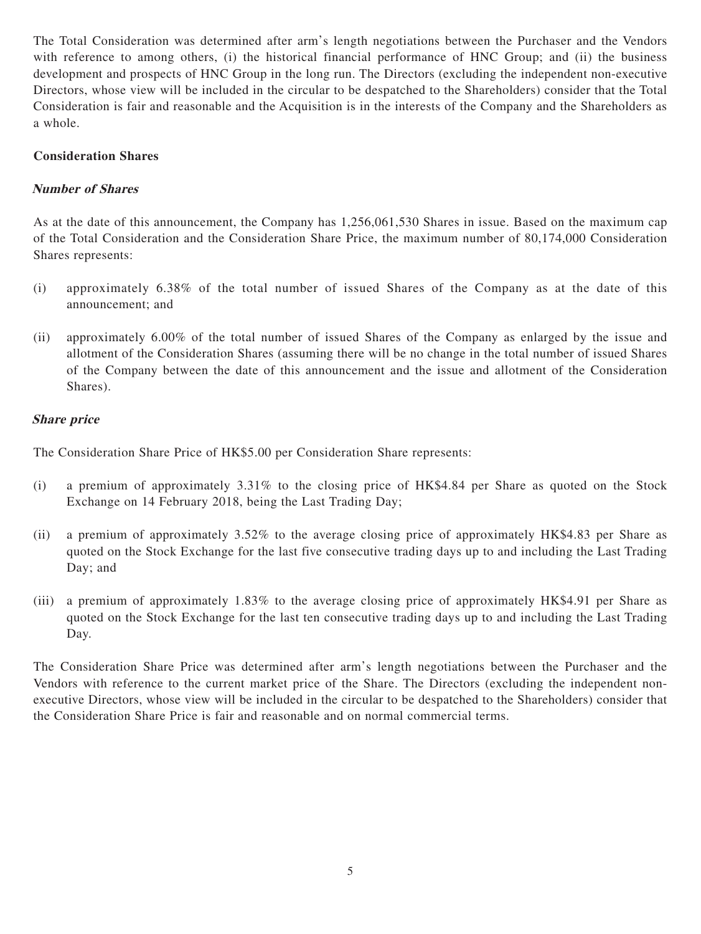The Total Consideration was determined after arm's length negotiations between the Purchaser and the Vendors with reference to among others, (i) the historical financial performance of HNC Group; and (ii) the business development and prospects of HNC Group in the long run. The Directors (excluding the independent non-executive Directors, whose view will be included in the circular to be despatched to the Shareholders) consider that the Total Consideration is fair and reasonable and the Acquisition is in the interests of the Company and the Shareholders as a whole.

#### **Consideration Shares**

#### **Number of Shares**

As at the date of this announcement, the Company has 1,256,061,530 Shares in issue. Based on the maximum cap of the Total Consideration and the Consideration Share Price, the maximum number of 80,174,000 Consideration Shares represents:

- (i) approximately 6.38% of the total number of issued Shares of the Company as at the date of this announcement; and
- (ii) approximately 6.00% of the total number of issued Shares of the Company as enlarged by the issue and allotment of the Consideration Shares (assuming there will be no change in the total number of issued Shares of the Company between the date of this announcement and the issue and allotment of the Consideration Shares).

#### **Share price**

The Consideration Share Price of HK\$5.00 per Consideration Share represents:

- (i) a premium of approximately 3.31% to the closing price of HK\$4.84 per Share as quoted on the Stock Exchange on 14 February 2018, being the Last Trading Day;
- (ii) a premium of approximately 3.52% to the average closing price of approximately HK\$4.83 per Share as quoted on the Stock Exchange for the last five consecutive trading days up to and including the Last Trading Day; and
- (iii) a premium of approximately 1.83% to the average closing price of approximately HK\$4.91 per Share as quoted on the Stock Exchange for the last ten consecutive trading days up to and including the Last Trading Day.

The Consideration Share Price was determined after arm's length negotiations between the Purchaser and the Vendors with reference to the current market price of the Share. The Directors (excluding the independent nonexecutive Directors, whose view will be included in the circular to be despatched to the Shareholders) consider that the Consideration Share Price is fair and reasonable and on normal commercial terms.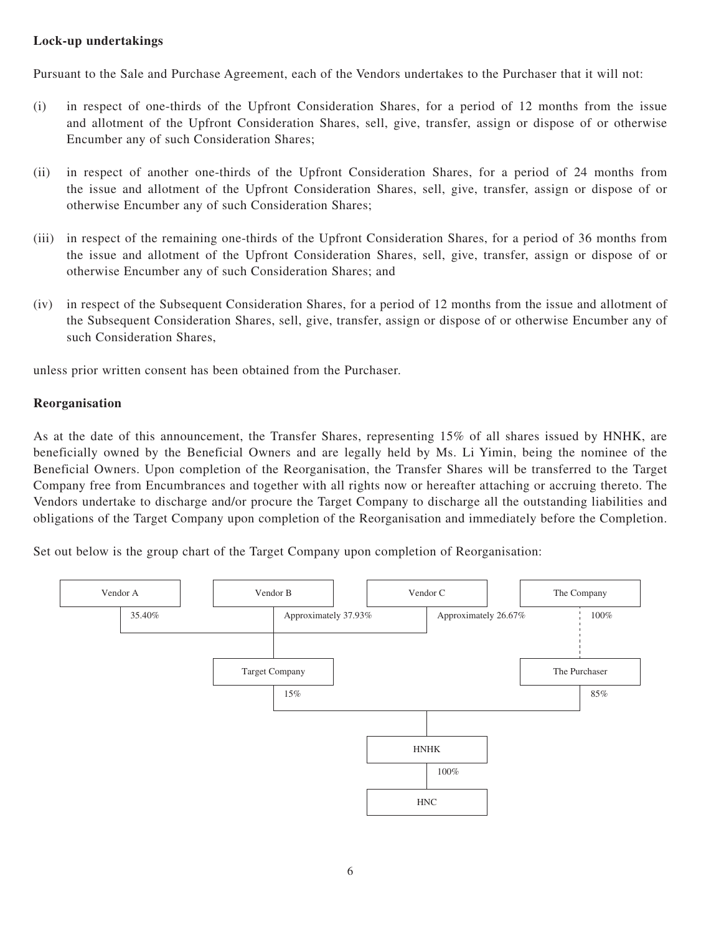## **Lock-up undertakings**

Pursuant to the Sale and Purchase Agreement, each of the Vendors undertakes to the Purchaser that it will not:

- (i) in respect of one-thirds of the Upfront Consideration Shares, for a period of 12 months from the issue and allotment of the Upfront Consideration Shares, sell, give, transfer, assign or dispose of or otherwise Encumber any of such Consideration Shares;
- (ii) in respect of another one-thirds of the Upfront Consideration Shares, for a period of 24 months from the issue and allotment of the Upfront Consideration Shares, sell, give, transfer, assign or dispose of or otherwise Encumber any of such Consideration Shares;
- (iii) in respect of the remaining one-thirds of the Upfront Consideration Shares, for a period of 36 months from the issue and allotment of the Upfront Consideration Shares, sell, give, transfer, assign or dispose of or otherwise Encumber any of such Consideration Shares; and
- (iv) in respect of the Subsequent Consideration Shares, for a period of 12 months from the issue and allotment of the Subsequent Consideration Shares, sell, give, transfer, assign or dispose of or otherwise Encumber any of such Consideration Shares,

unless prior written consent has been obtained from the Purchaser.

## **Reorganisation**

As at the date of this announcement, the Transfer Shares, representing 15% of all shares issued by HNHK, are beneficially owned by the Beneficial Owners and are legally held by Ms. Li Yimin, being the nominee of the Beneficial Owners. Upon completion of the Reorganisation, the Transfer Shares will be transferred to the Target Company free from Encumbrances and together with all rights now or hereafter attaching or accruing thereto. The Vendors undertake to discharge and/or procure the Target Company to discharge all the outstanding liabilities and obligations of the Target Company upon completion of the Reorganisation and immediately before the Completion.

Set out below is the group chart of the Target Company upon completion of Reorganisation:

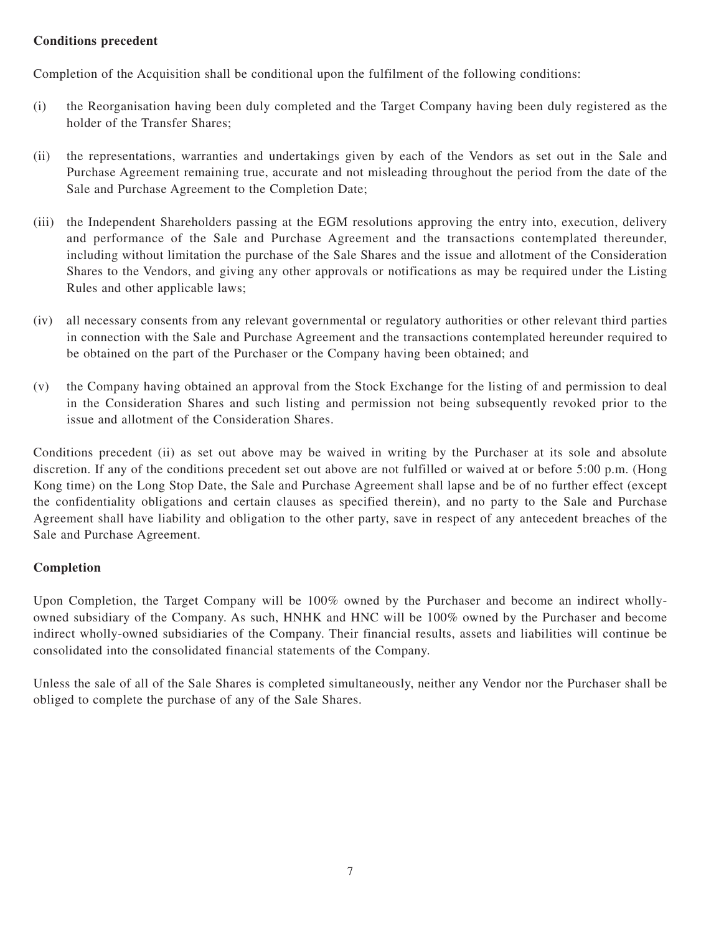## **Conditions precedent**

Completion of the Acquisition shall be conditional upon the fulfilment of the following conditions:

- (i) the Reorganisation having been duly completed and the Target Company having been duly registered as the holder of the Transfer Shares;
- (ii) the representations, warranties and undertakings given by each of the Vendors as set out in the Sale and Purchase Agreement remaining true, accurate and not misleading throughout the period from the date of the Sale and Purchase Agreement to the Completion Date;
- (iii) the Independent Shareholders passing at the EGM resolutions approving the entry into, execution, delivery and performance of the Sale and Purchase Agreement and the transactions contemplated thereunder, including without limitation the purchase of the Sale Shares and the issue and allotment of the Consideration Shares to the Vendors, and giving any other approvals or notifications as may be required under the Listing Rules and other applicable laws;
- (iv) all necessary consents from any relevant governmental or regulatory authorities or other relevant third parties in connection with the Sale and Purchase Agreement and the transactions contemplated hereunder required to be obtained on the part of the Purchaser or the Company having been obtained; and
- (v) the Company having obtained an approval from the Stock Exchange for the listing of and permission to deal in the Consideration Shares and such listing and permission not being subsequently revoked prior to the issue and allotment of the Consideration Shares.

Conditions precedent (ii) as set out above may be waived in writing by the Purchaser at its sole and absolute discretion. If any of the conditions precedent set out above are not fulfilled or waived at or before 5:00 p.m. (Hong Kong time) on the Long Stop Date, the Sale and Purchase Agreement shall lapse and be of no further effect (except the confidentiality obligations and certain clauses as specified therein), and no party to the Sale and Purchase Agreement shall have liability and obligation to the other party, save in respect of any antecedent breaches of the Sale and Purchase Agreement.

## **Completion**

Upon Completion, the Target Company will be 100% owned by the Purchaser and become an indirect whollyowned subsidiary of the Company. As such, HNHK and HNC will be 100% owned by the Purchaser and become indirect wholly-owned subsidiaries of the Company. Their financial results, assets and liabilities will continue be consolidated into the consolidated financial statements of the Company.

Unless the sale of all of the Sale Shares is completed simultaneously, neither any Vendor nor the Purchaser shall be obliged to complete the purchase of any of the Sale Shares.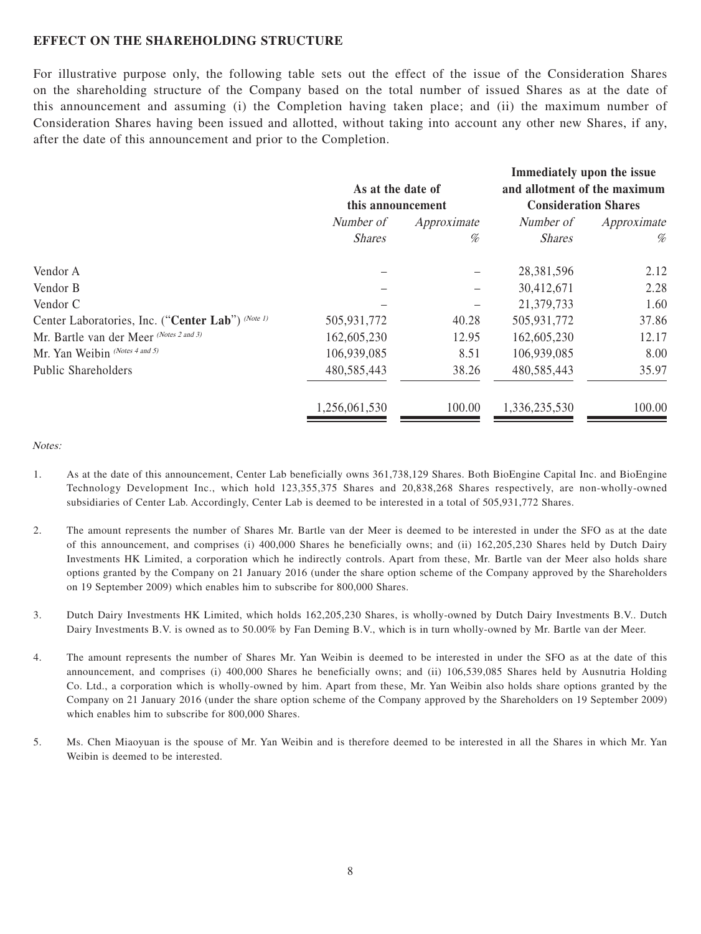#### **EFFECT ON THE SHAREHOLDING STRUCTURE**

For illustrative purpose only, the following table sets out the effect of the issue of the Consideration Shares on the shareholding structure of the Company based on the total number of issued Shares as at the date of this announcement and assuming (i) the Completion having taken place; and (ii) the maximum number of Consideration Shares having been issued and allotted, without taking into account any other new Shares, if any, after the date of this announcement and prior to the Completion.

|                                                   |                   |             | Immediately upon the issue   |             |
|---------------------------------------------------|-------------------|-------------|------------------------------|-------------|
|                                                   | As at the date of |             | and allotment of the maximum |             |
|                                                   | this announcement |             | <b>Consideration Shares</b>  |             |
|                                                   | Number of         | Approximate | Number of                    | Approximate |
|                                                   | <b>Shares</b>     | %           | <b>Shares</b>                | %           |
| Vendor A                                          |                   |             | 28,381,596                   | 2.12        |
| Vendor B                                          |                   |             | 30,412,671                   | 2.28        |
| Vendor C                                          |                   |             | 21,379,733                   | 1.60        |
| Center Laboratories, Inc. ("Center Lab") (Note 1) | 505,931,772       | 40.28       | 505,931,772                  | 37.86       |
| Mr. Bartle van der Meer (Notes 2 and 3)           | 162,605,230       | 12.95       | 162,605,230                  | 12.17       |
| Mr. Yan Weibin (Notes 4 and 5)                    | 106,939,085       | 8.51        | 106,939,085                  | 8.00        |
| <b>Public Shareholders</b>                        | 480,585,443       | 38.26       | 480,585,443                  | 35.97       |
|                                                   | 1,256,061,530     | 100.00      | 1,336,235,530                | 100.00      |

Notes:

- 1. As at the date of this announcement, Center Lab beneficially owns 361,738,129 Shares. Both BioEngine Capital Inc. and BioEngine Technology Development Inc., which hold 123,355,375 Shares and 20,838,268 Shares respectively, are non-wholly-owned subsidiaries of Center Lab. Accordingly, Center Lab is deemed to be interested in a total of 505,931,772 Shares.
- 2. The amount represents the number of Shares Mr. Bartle van der Meer is deemed to be interested in under the SFO as at the date of this announcement, and comprises (i) 400,000 Shares he beneficially owns; and (ii) 162,205,230 Shares held by Dutch Dairy Investments HK Limited, a corporation which he indirectly controls. Apart from these, Mr. Bartle van der Meer also holds share options granted by the Company on 21 January 2016 (under the share option scheme of the Company approved by the Shareholders on 19 September 2009) which enables him to subscribe for 800,000 Shares.
- 3. Dutch Dairy Investments HK Limited, which holds 162,205,230 Shares, is wholly-owned by Dutch Dairy Investments B.V.. Dutch Dairy Investments B.V. is owned as to 50.00% by Fan Deming B.V., which is in turn wholly-owned by Mr. Bartle van der Meer.
- 4. The amount represents the number of Shares Mr. Yan Weibin is deemed to be interested in under the SFO as at the date of this announcement, and comprises (i) 400,000 Shares he beneficially owns; and (ii) 106,539,085 Shares held by Ausnutria Holding Co. Ltd., a corporation which is wholly-owned by him. Apart from these, Mr. Yan Weibin also holds share options granted by the Company on 21 January 2016 (under the share option scheme of the Company approved by the Shareholders on 19 September 2009) which enables him to subscribe for 800,000 Shares.
- 5. Ms. Chen Miaoyuan is the spouse of Mr. Yan Weibin and is therefore deemed to be interested in all the Shares in which Mr. Yan Weibin is deemed to be interested.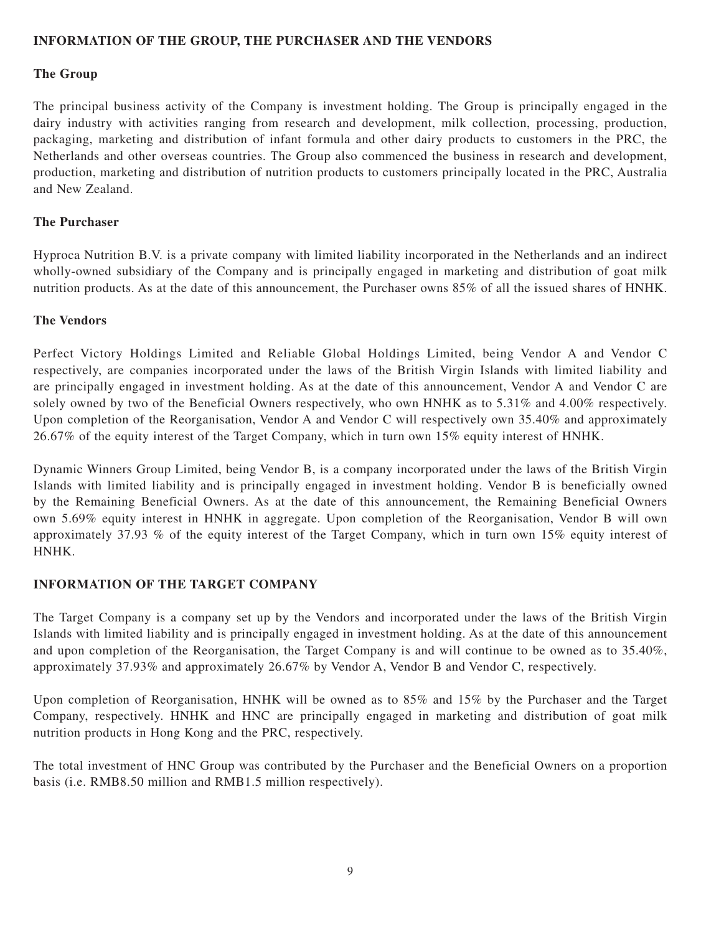#### **INFORMATION OF THE GROUP, THE PURCHASER AND THE VENDORS**

#### **The Group**

The principal business activity of the Company is investment holding. The Group is principally engaged in the dairy industry with activities ranging from research and development, milk collection, processing, production, packaging, marketing and distribution of infant formula and other dairy products to customers in the PRC, the Netherlands and other overseas countries. The Group also commenced the business in research and development, production, marketing and distribution of nutrition products to customers principally located in the PRC, Australia and New Zealand.

#### **The Purchaser**

Hyproca Nutrition B.V. is a private company with limited liability incorporated in the Netherlands and an indirect wholly-owned subsidiary of the Company and is principally engaged in marketing and distribution of goat milk nutrition products. As at the date of this announcement, the Purchaser owns 85% of all the issued shares of HNHK.

#### **The Vendors**

Perfect Victory Holdings Limited and Reliable Global Holdings Limited, being Vendor A and Vendor C respectively, are companies incorporated under the laws of the British Virgin Islands with limited liability and are principally engaged in investment holding. As at the date of this announcement, Vendor A and Vendor C are solely owned by two of the Beneficial Owners respectively, who own HNHK as to 5.31% and 4.00% respectively. Upon completion of the Reorganisation, Vendor A and Vendor C will respectively own 35.40% and approximately 26.67% of the equity interest of the Target Company, which in turn own 15% equity interest of HNHK.

Dynamic Winners Group Limited, being Vendor B, is a company incorporated under the laws of the British Virgin Islands with limited liability and is principally engaged in investment holding. Vendor B is beneficially owned by the Remaining Beneficial Owners. As at the date of this announcement, the Remaining Beneficial Owners own 5.69% equity interest in HNHK in aggregate. Upon completion of the Reorganisation, Vendor B will own approximately 37.93 % of the equity interest of the Target Company, which in turn own 15% equity interest of HNHK.

## **INFORMATION OF THE TARGET COMPANY**

The Target Company is a company set up by the Vendors and incorporated under the laws of the British Virgin Islands with limited liability and is principally engaged in investment holding. As at the date of this announcement and upon completion of the Reorganisation, the Target Company is and will continue to be owned as to 35.40%, approximately 37.93% and approximately 26.67% by Vendor A, Vendor B and Vendor C, respectively.

Upon completion of Reorganisation, HNHK will be owned as to 85% and 15% by the Purchaser and the Target Company, respectively. HNHK and HNC are principally engaged in marketing and distribution of goat milk nutrition products in Hong Kong and the PRC, respectively.

The total investment of HNC Group was contributed by the Purchaser and the Beneficial Owners on a proportion basis (i.e. RMB8.50 million and RMB1.5 million respectively).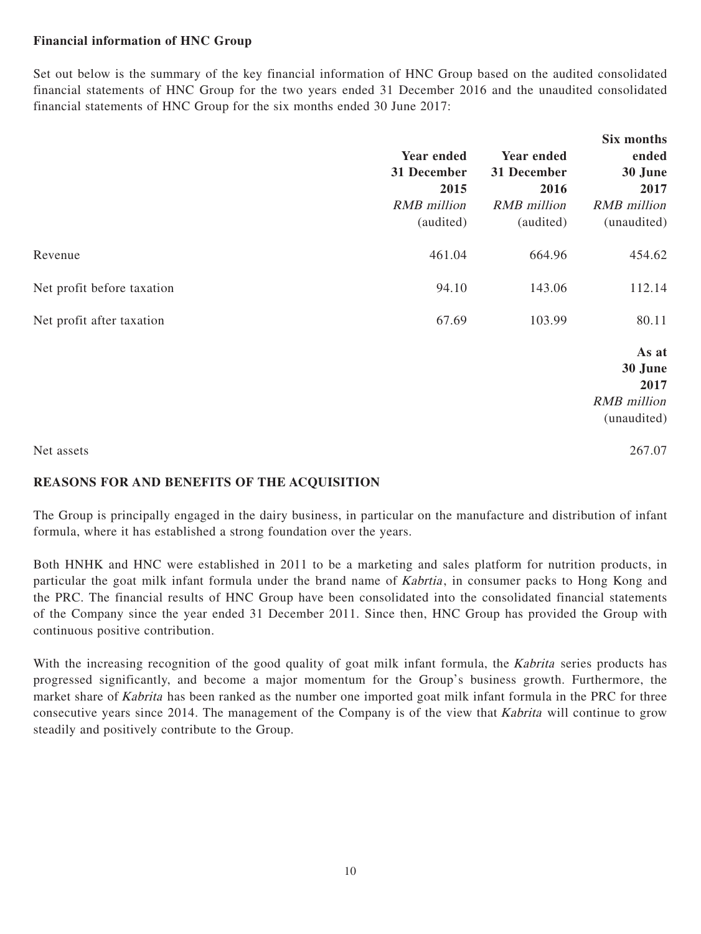## **Financial information of HNC Group**

Set out below is the summary of the key financial information of HNC Group based on the audited consolidated financial statements of HNC Group for the two years ended 31 December 2016 and the unaudited consolidated financial statements of HNC Group for the six months ended 30 June 2017:

|                            | Year ended<br>31 December<br>2015<br><b>RMB</b> million<br>(audited) | Year ended<br>31 December<br>2016<br><b>RMB</b> million<br>(audited) | Six months<br>ended<br>30 June<br>2017<br><b>RMB</b> million<br>(unaudited) |
|----------------------------|----------------------------------------------------------------------|----------------------------------------------------------------------|-----------------------------------------------------------------------------|
| Revenue                    | 461.04                                                               | 664.96                                                               | 454.62                                                                      |
| Net profit before taxation | 94.10                                                                | 143.06                                                               | 112.14                                                                      |
| Net profit after taxation  | 67.69                                                                | 103.99                                                               | 80.11                                                                       |
|                            |                                                                      |                                                                      | As at<br>30 June<br>2017<br><b>RMB</b> million<br>(unaudited)               |
| Net assets                 |                                                                      |                                                                      | 267.07                                                                      |

## **REASONS FOR AND BENEFITS OF THE ACQUISITION**

The Group is principally engaged in the dairy business, in particular on the manufacture and distribution of infant formula, where it has established a strong foundation over the years.

Both HNHK and HNC were established in 2011 to be a marketing and sales platform for nutrition products, in particular the goat milk infant formula under the brand name of Kabrtia, in consumer packs to Hong Kong and the PRC. The financial results of HNC Group have been consolidated into the consolidated financial statements of the Company since the year ended 31 December 2011. Since then, HNC Group has provided the Group with continuous positive contribution.

With the increasing recognition of the good quality of goat milk infant formula, the Kabrita series products has progressed significantly, and become a major momentum for the Group's business growth. Furthermore, the market share of Kabrita has been ranked as the number one imported goat milk infant formula in the PRC for three consecutive years since 2014. The management of the Company is of the view that Kabrita will continue to grow steadily and positively contribute to the Group.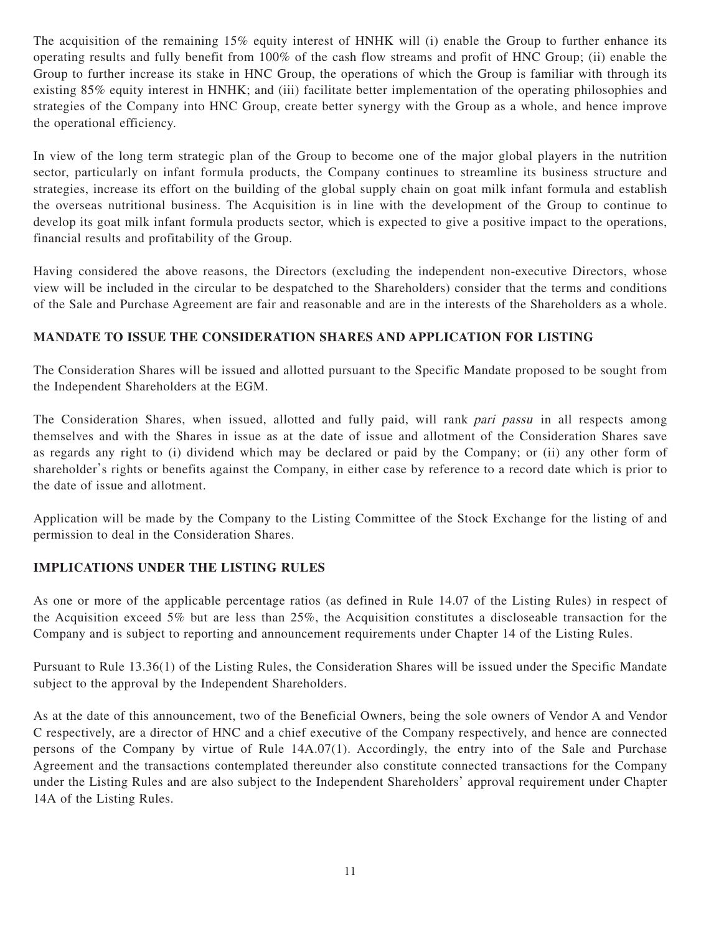The acquisition of the remaining 15% equity interest of HNHK will (i) enable the Group to further enhance its operating results and fully benefit from 100% of the cash flow streams and profit of HNC Group; (ii) enable the Group to further increase its stake in HNC Group, the operations of which the Group is familiar with through its existing 85% equity interest in HNHK; and (iii) facilitate better implementation of the operating philosophies and strategies of the Company into HNC Group, create better synergy with the Group as a whole, and hence improve the operational efficiency.

In view of the long term strategic plan of the Group to become one of the major global players in the nutrition sector, particularly on infant formula products, the Company continues to streamline its business structure and strategies, increase its effort on the building of the global supply chain on goat milk infant formula and establish the overseas nutritional business. The Acquisition is in line with the development of the Group to continue to develop its goat milk infant formula products sector, which is expected to give a positive impact to the operations, financial results and profitability of the Group.

Having considered the above reasons, the Directors (excluding the independent non-executive Directors, whose view will be included in the circular to be despatched to the Shareholders) consider that the terms and conditions of the Sale and Purchase Agreement are fair and reasonable and are in the interests of the Shareholders as a whole.

## **MANDATE TO ISSUE THE CONSIDERATION SHARES AND APPLICATION FOR LISTING**

The Consideration Shares will be issued and allotted pursuant to the Specific Mandate proposed to be sought from the Independent Shareholders at the EGM.

The Consideration Shares, when issued, allotted and fully paid, will rank pari passu in all respects among themselves and with the Shares in issue as at the date of issue and allotment of the Consideration Shares save as regards any right to (i) dividend which may be declared or paid by the Company; or (ii) any other form of shareholder's rights or benefits against the Company, in either case by reference to a record date which is prior to the date of issue and allotment.

Application will be made by the Company to the Listing Committee of the Stock Exchange for the listing of and permission to deal in the Consideration Shares.

## **IMPLICATIONS UNDER THE LISTING RULES**

As one or more of the applicable percentage ratios (as defined in Rule 14.07 of the Listing Rules) in respect of the Acquisition exceed 5% but are less than 25%, the Acquisition constitutes a discloseable transaction for the Company and is subject to reporting and announcement requirements under Chapter 14 of the Listing Rules.

Pursuant to Rule 13.36(1) of the Listing Rules, the Consideration Shares will be issued under the Specific Mandate subject to the approval by the Independent Shareholders.

As at the date of this announcement, two of the Beneficial Owners, being the sole owners of Vendor A and Vendor C respectively, are a director of HNC and a chief executive of the Company respectively, and hence are connected persons of the Company by virtue of Rule 14A.07(1). Accordingly, the entry into of the Sale and Purchase Agreement and the transactions contemplated thereunder also constitute connected transactions for the Company under the Listing Rules and are also subject to the Independent Shareholders' approval requirement under Chapter 14A of the Listing Rules.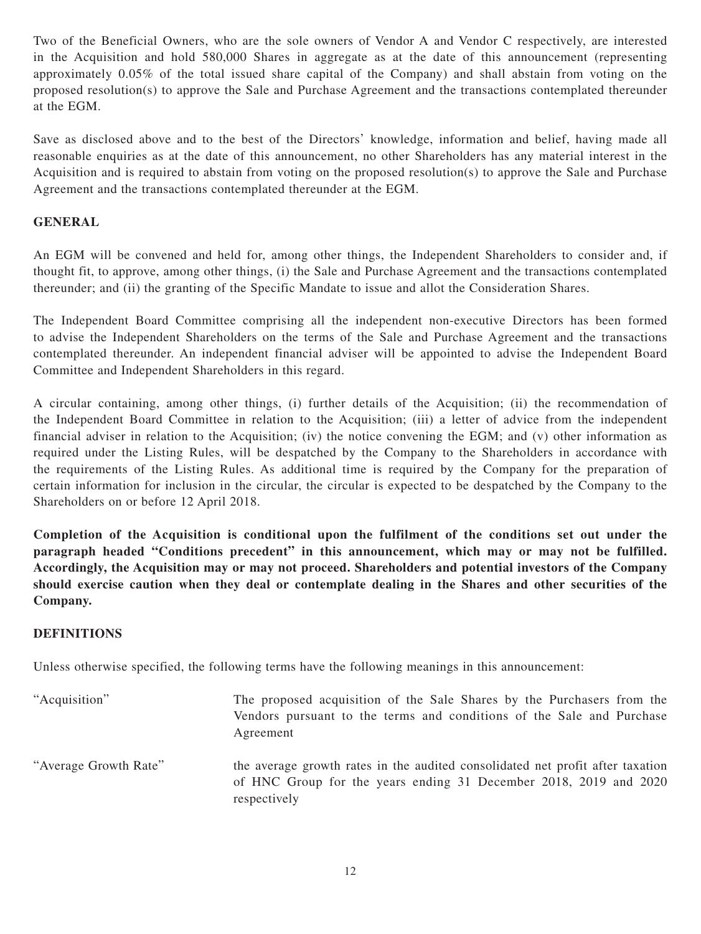Two of the Beneficial Owners, who are the sole owners of Vendor A and Vendor C respectively, are interested in the Acquisition and hold 580,000 Shares in aggregate as at the date of this announcement (representing approximately 0.05% of the total issued share capital of the Company) and shall abstain from voting on the proposed resolution(s) to approve the Sale and Purchase Agreement and the transactions contemplated thereunder at the EGM.

Save as disclosed above and to the best of the Directors' knowledge, information and belief, having made all reasonable enquiries as at the date of this announcement, no other Shareholders has any material interest in the Acquisition and is required to abstain from voting on the proposed resolution(s) to approve the Sale and Purchase Agreement and the transactions contemplated thereunder at the EGM.

## **GENERAL**

An EGM will be convened and held for, among other things, the Independent Shareholders to consider and, if thought fit, to approve, among other things, (i) the Sale and Purchase Agreement and the transactions contemplated thereunder; and (ii) the granting of the Specific Mandate to issue and allot the Consideration Shares.

The Independent Board Committee comprising all the independent non-executive Directors has been formed to advise the Independent Shareholders on the terms of the Sale and Purchase Agreement and the transactions contemplated thereunder. An independent financial adviser will be appointed to advise the Independent Board Committee and Independent Shareholders in this regard.

A circular containing, among other things, (i) further details of the Acquisition; (ii) the recommendation of the Independent Board Committee in relation to the Acquisition; (iii) a letter of advice from the independent financial adviser in relation to the Acquisition; (iv) the notice convening the EGM; and (v) other information as required under the Listing Rules, will be despatched by the Company to the Shareholders in accordance with the requirements of the Listing Rules. As additional time is required by the Company for the preparation of certain information for inclusion in the circular, the circular is expected to be despatched by the Company to the Shareholders on or before 12 April 2018.

**Completion of the Acquisition is conditional upon the fulfilment of the conditions set out under the paragraph headed "Conditions precedent" in this announcement, which may or may not be fulfilled. Accordingly, the Acquisition may or may not proceed. Shareholders and potential investors of the Company should exercise caution when they deal or contemplate dealing in the Shares and other securities of the Company.**

#### **DEFINITIONS**

Unless otherwise specified, the following terms have the following meanings in this announcement:

"Acquisition" The proposed acquisition of the Sale Shares by the Purchasers from the Vendors pursuant to the terms and conditions of the Sale and Purchase Agreement "Average Growth Rate" the average growth rates in the audited consolidated net profit after taxation of HNC Group for the years ending 31 December 2018, 2019 and 2020 respectively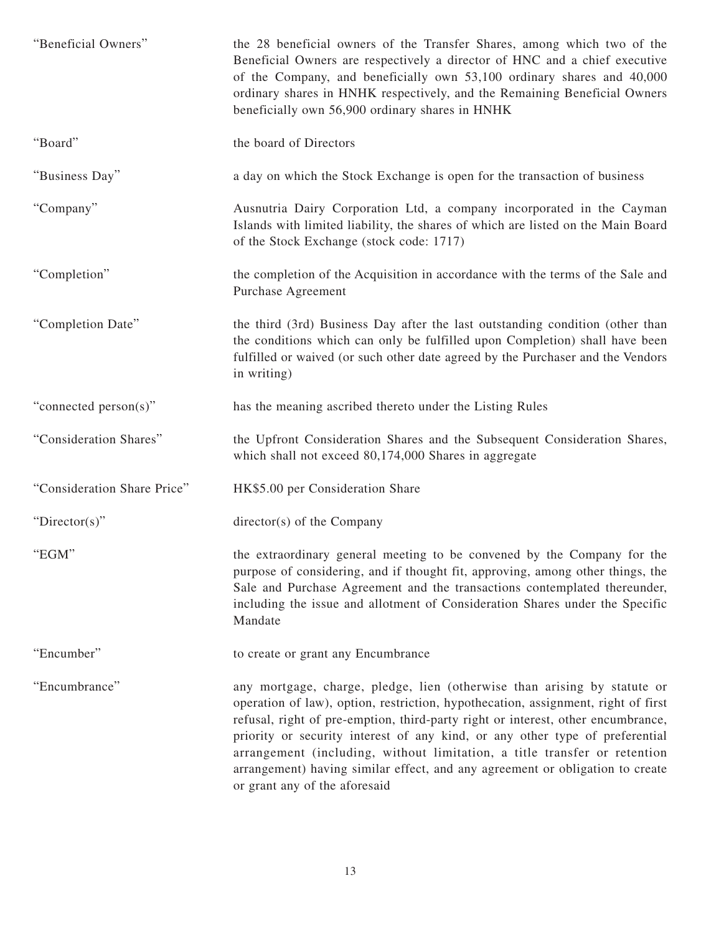| "Beneficial Owners"         | the 28 beneficial owners of the Transfer Shares, among which two of the<br>Beneficial Owners are respectively a director of HNC and a chief executive<br>of the Company, and beneficially own 53,100 ordinary shares and 40,000<br>ordinary shares in HNHK respectively, and the Remaining Beneficial Owners<br>beneficially own 56,900 ordinary shares in HNHK                                                                                                                                                                  |
|-----------------------------|----------------------------------------------------------------------------------------------------------------------------------------------------------------------------------------------------------------------------------------------------------------------------------------------------------------------------------------------------------------------------------------------------------------------------------------------------------------------------------------------------------------------------------|
| "Board"                     | the board of Directors                                                                                                                                                                                                                                                                                                                                                                                                                                                                                                           |
| "Business Day"              | a day on which the Stock Exchange is open for the transaction of business                                                                                                                                                                                                                                                                                                                                                                                                                                                        |
| "Company"                   | Ausnutria Dairy Corporation Ltd, a company incorporated in the Cayman<br>Islands with limited liability, the shares of which are listed on the Main Board<br>of the Stock Exchange (stock code: 1717)                                                                                                                                                                                                                                                                                                                            |
| "Completion"                | the completion of the Acquisition in accordance with the terms of the Sale and<br>Purchase Agreement                                                                                                                                                                                                                                                                                                                                                                                                                             |
| "Completion Date"           | the third (3rd) Business Day after the last outstanding condition (other than<br>the conditions which can only be fulfilled upon Completion) shall have been<br>fulfilled or waived (or such other date agreed by the Purchaser and the Vendors<br>in writing)                                                                                                                                                                                                                                                                   |
| "connected person(s)"       | has the meaning ascribed thereto under the Listing Rules                                                                                                                                                                                                                                                                                                                                                                                                                                                                         |
| "Consideration Shares"      | the Upfront Consideration Shares and the Subsequent Consideration Shares,<br>which shall not exceed 80,174,000 Shares in aggregate                                                                                                                                                                                                                                                                                                                                                                                               |
| "Consideration Share Price" | HK\$5.00 per Consideration Share                                                                                                                                                                                                                                                                                                                                                                                                                                                                                                 |
| "Director(s)"               | director(s) of the Company                                                                                                                                                                                                                                                                                                                                                                                                                                                                                                       |
| "EGM"                       | the extraordinary general meeting to be convened by the Company for the<br>purpose of considering, and if thought fit, approving, among other things, the<br>Sale and Purchase Agreement and the transactions contemplated thereunder,<br>including the issue and allotment of Consideration Shares under the Specific<br>Mandate                                                                                                                                                                                                |
| "Encumber"                  | to create or grant any Encumbrance                                                                                                                                                                                                                                                                                                                                                                                                                                                                                               |
| "Encumbrance"               | any mortgage, charge, pledge, lien (otherwise than arising by statute or<br>operation of law), option, restriction, hypothecation, assignment, right of first<br>refusal, right of pre-emption, third-party right or interest, other encumbrance,<br>priority or security interest of any kind, or any other type of preferential<br>arrangement (including, without limitation, a title transfer or retention<br>arrangement) having similar effect, and any agreement or obligation to create<br>or grant any of the aforesaid |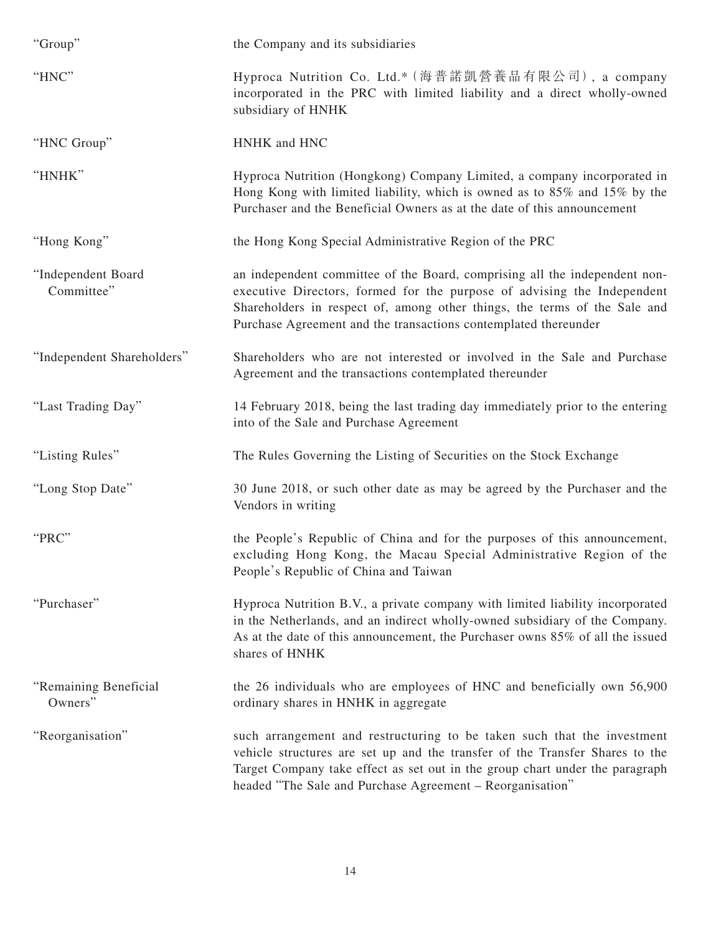| "Group"                          | the Company and its subsidiaries                                                                                                                                                                                                                                                                      |
|----------------------------------|-------------------------------------------------------------------------------------------------------------------------------------------------------------------------------------------------------------------------------------------------------------------------------------------------------|
| "HNC"                            | Hyproca Nutrition Co. Ltd.* (海普諾凱營養品有限公司), a company<br>incorporated in the PRC with limited liability and a direct wholly-owned<br>subsidiary of HNHK                                                                                                                                                |
| "HNC Group"                      | HNHK and HNC                                                                                                                                                                                                                                                                                          |
| "HNHK"                           | Hyproca Nutrition (Hongkong) Company Limited, a company incorporated in<br>Hong Kong with limited liability, which is owned as to 85% and 15% by the<br>Purchaser and the Beneficial Owners as at the date of this announcement                                                                       |
| "Hong Kong"                      | the Hong Kong Special Administrative Region of the PRC                                                                                                                                                                                                                                                |
| "Independent Board<br>Committee" | an independent committee of the Board, comprising all the independent non-<br>executive Directors, formed for the purpose of advising the Independent<br>Shareholders in respect of, among other things, the terms of the Sale and<br>Purchase Agreement and the transactions contemplated thereunder |
| "Independent Shareholders"       | Shareholders who are not interested or involved in the Sale and Purchase<br>Agreement and the transactions contemplated thereunder                                                                                                                                                                    |
| "Last Trading Day"               | 14 February 2018, being the last trading day immediately prior to the entering<br>into of the Sale and Purchase Agreement                                                                                                                                                                             |
| "Listing Rules"                  | The Rules Governing the Listing of Securities on the Stock Exchange                                                                                                                                                                                                                                   |
| "Long Stop Date"                 | 30 June 2018, or such other date as may be agreed by the Purchaser and the<br>Vendors in writing                                                                                                                                                                                                      |
| "PRC"                            | the People's Republic of China and for the purposes of this announcement,<br>excluding Hong Kong, the Macau Special Administrative Region of the<br>People's Republic of China and Taiwan                                                                                                             |
| "Purchaser"                      | Hyproca Nutrition B.V., a private company with limited liability incorporated<br>in the Netherlands, and an indirect wholly-owned subsidiary of the Company.<br>As at the date of this announcement, the Purchaser owns 85% of all the issued<br>shares of HNHK                                       |
| "Remaining Beneficial<br>Owners" | the 26 individuals who are employees of HNC and beneficially own 56,900<br>ordinary shares in HNHK in aggregate                                                                                                                                                                                       |
| "Reorganisation"                 | such arrangement and restructuring to be taken such that the investment<br>vehicle structures are set up and the transfer of the Transfer Shares to the<br>Target Company take effect as set out in the group chart under the paragraph<br>headed "The Sale and Purchase Agreement - Reorganisation"  |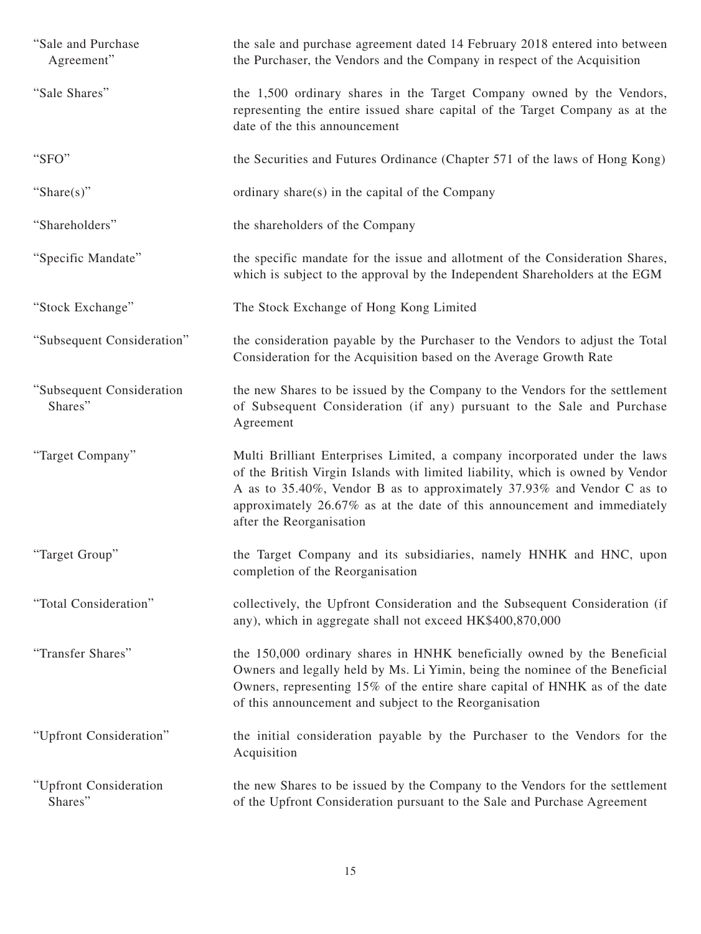| "Sale and Purchase"<br>Agreement"    | the sale and purchase agreement dated 14 February 2018 entered into between<br>the Purchaser, the Vendors and the Company in respect of the Acquisition                                                                                                                                                                                        |
|--------------------------------------|------------------------------------------------------------------------------------------------------------------------------------------------------------------------------------------------------------------------------------------------------------------------------------------------------------------------------------------------|
| "Sale Shares"                        | the 1,500 ordinary shares in the Target Company owned by the Vendors,<br>representing the entire issued share capital of the Target Company as at the<br>date of the this announcement                                                                                                                                                         |
| "SFO"                                | the Securities and Futures Ordinance (Chapter 571 of the laws of Hong Kong)                                                                                                                                                                                                                                                                    |
| "Share $(s)$ "                       | ordinary share(s) in the capital of the Company                                                                                                                                                                                                                                                                                                |
| "Shareholders"                       | the shareholders of the Company                                                                                                                                                                                                                                                                                                                |
| "Specific Mandate"                   | the specific mandate for the issue and allotment of the Consideration Shares,<br>which is subject to the approval by the Independent Shareholders at the EGM                                                                                                                                                                                   |
| "Stock Exchange"                     | The Stock Exchange of Hong Kong Limited                                                                                                                                                                                                                                                                                                        |
| "Subsequent Consideration"           | the consideration payable by the Purchaser to the Vendors to adjust the Total<br>Consideration for the Acquisition based on the Average Growth Rate                                                                                                                                                                                            |
| "Subsequent Consideration<br>Shares" | the new Shares to be issued by the Company to the Vendors for the settlement<br>of Subsequent Consideration (if any) pursuant to the Sale and Purchase<br>Agreement                                                                                                                                                                            |
| "Target Company"                     | Multi Brilliant Enterprises Limited, a company incorporated under the laws<br>of the British Virgin Islands with limited liability, which is owned by Vendor<br>A as to 35.40%, Vendor B as to approximately 37.93% and Vendor C as to<br>approximately 26.67% as at the date of this announcement and immediately<br>after the Reorganisation |
| "Target Group"                       | the Target Company and its subsidiaries, namely HNHK and HNC, upon<br>completion of the Reorganisation                                                                                                                                                                                                                                         |
| "Total Consideration"                | collectively, the Upfront Consideration and the Subsequent Consideration (if<br>any), which in aggregate shall not exceed HK\$400,870,000                                                                                                                                                                                                      |
| "Transfer Shares"                    | the 150,000 ordinary shares in HNHK beneficially owned by the Beneficial<br>Owners and legally held by Ms. Li Yimin, being the nominee of the Beneficial<br>Owners, representing 15% of the entire share capital of HNHK as of the date<br>of this announcement and subject to the Reorganisation                                              |
| "Upfront Consideration"              | the initial consideration payable by the Purchaser to the Vendors for the<br>Acquisition                                                                                                                                                                                                                                                       |
| "Upfront Consideration<br>Shares"    | the new Shares to be issued by the Company to the Vendors for the settlement<br>of the Upfront Consideration pursuant to the Sale and Purchase Agreement                                                                                                                                                                                       |